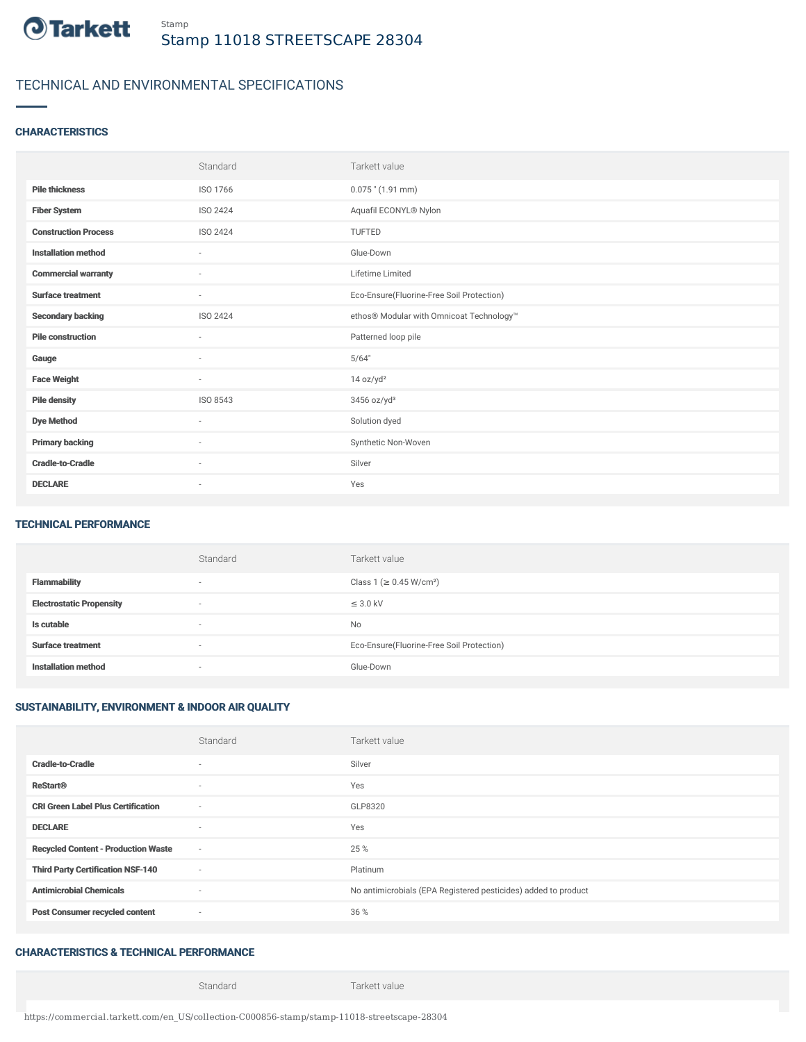

# TECHNICAL AND ENVIRONMENTAL SPECIFICATIONS

### **CHARACTERISTICS**

|                             | Standard                 | Tarkett value                             |
|-----------------------------|--------------------------|-------------------------------------------|
| <b>Pile thickness</b>       | ISO 1766                 | $0.075$ " (1.91 mm)                       |
| <b>Fiber System</b>         | ISO 2424                 | Aquafil ECONYL® Nylon                     |
| <b>Construction Process</b> | ISO 2424                 | <b>TUFTED</b>                             |
| <b>Installation method</b>  | $\overline{\phantom{a}}$ | Glue-Down                                 |
| <b>Commercial warranty</b>  | $\sim$                   | Lifetime Limited                          |
| <b>Surface treatment</b>    | $\sim$                   | Eco-Ensure(Fluorine-Free Soil Protection) |
| <b>Secondary backing</b>    | ISO 2424                 | ethos® Modular with Omnicoat Technology™  |
| <b>Pile construction</b>    | $\sim$                   | Patterned loop pile                       |
| Gauge                       | $\sim$                   | 5/64"                                     |
| <b>Face Weight</b>          | $\sim$                   | 14 oz/yd <sup>2</sup>                     |
| <b>Pile density</b>         | ISO 8543                 | 3456 oz/yd <sup>3</sup>                   |
| <b>Dye Method</b>           | $\sim$                   | Solution dyed                             |
| <b>Primary backing</b>      | ×.                       | Synthetic Non-Woven                       |
| <b>Cradle-to-Cradle</b>     | $\sim$                   | Silver                                    |
| <b>DECLARE</b>              | $\overline{\phantom{a}}$ | Yes                                       |

#### TECHNICAL PERFORMANCE

|                                 | Standard                 | Tarkett value                             |
|---------------------------------|--------------------------|-------------------------------------------|
| <b>Flammability</b>             | $\overline{\phantom{a}}$ | Class 1 (≥ 0.45 W/cm <sup>2</sup> )       |
| <b>Electrostatic Propensity</b> | ۰                        | $\leq$ 3.0 kV                             |
| Is cutable                      | $\overline{\phantom{a}}$ | No                                        |
| <b>Surface treatment</b>        | $\overline{\phantom{a}}$ | Eco-Ensure(Fluorine-Free Soil Protection) |
| <b>Installation method</b>      | $\overline{\phantom{a}}$ | Glue-Down                                 |

## SUSTAINABILITY, ENVIRONMENT & INDOOR AIR QUALITY

|                                            | Standard                 | Tarkett value                                                  |
|--------------------------------------------|--------------------------|----------------------------------------------------------------|
| <b>Cradle-to-Cradle</b>                    | ۰                        | Silver                                                         |
| <b>ReStart®</b>                            | $\sim$                   | Yes                                                            |
| <b>CRI Green Label Plus Certification</b>  | $\sim$                   | GLP8320                                                        |
| <b>DECLARE</b>                             | $\sim$                   | Yes                                                            |
| <b>Recycled Content - Production Waste</b> | $\sim$                   | 25 %                                                           |
| <b>Third Party Certification NSF-140</b>   | $\sim$                   | Platinum                                                       |
| <b>Antimicrobial Chemicals</b>             | $\sim$                   | No antimicrobials (EPA Registered pesticides) added to product |
| <b>Post Consumer recycled content</b>      | $\overline{\phantom{a}}$ | 36 %                                                           |

## CHARACTERISTICS & TECHNICAL PERFORMANCE

Standard Tarkett value